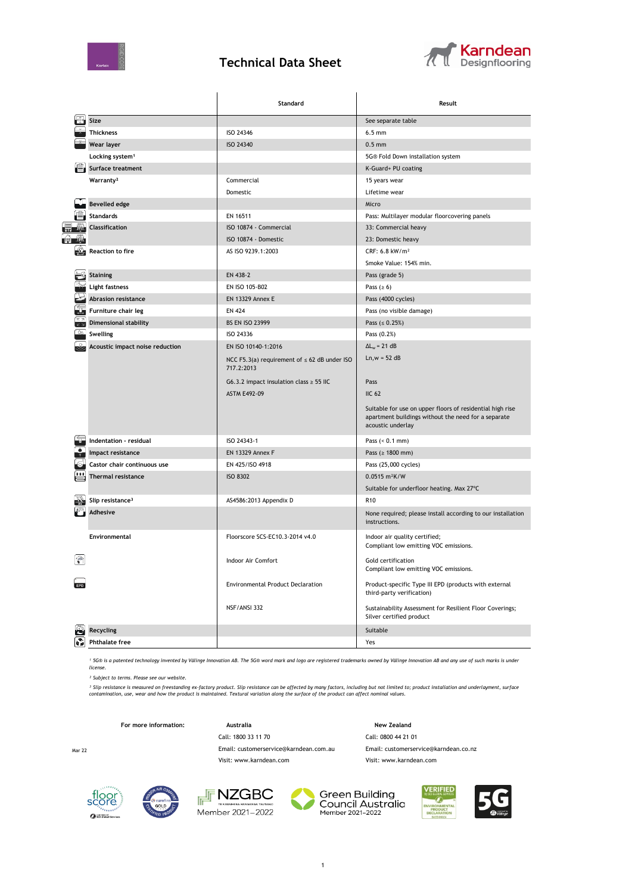

## **Technical Data Sheet**



|   |                                 | Standard                                                        | Result                                                                                                                                |  |  |
|---|---------------------------------|-----------------------------------------------------------------|---------------------------------------------------------------------------------------------------------------------------------------|--|--|
|   | Size                            |                                                                 | See separate table                                                                                                                    |  |  |
|   | <b>Thickness</b>                | ISO 24346                                                       | $6.5 \text{ mm}$                                                                                                                      |  |  |
|   | Wear layer                      | ISO 24340                                                       | $0.5$ mm                                                                                                                              |  |  |
|   | Locking system <sup>1</sup>     |                                                                 | 5G® Fold Down installation system                                                                                                     |  |  |
|   | Surface treatment               |                                                                 | K-Guard+ PU coating                                                                                                                   |  |  |
|   | Warranty <sup>2</sup>           | Commercial                                                      | 15 years wear                                                                                                                         |  |  |
|   |                                 | Domestic                                                        | Lifetime wear                                                                                                                         |  |  |
|   | <b>Bevelled edge</b>            |                                                                 | Micro                                                                                                                                 |  |  |
|   | <b>Standards</b>                | EN 16511                                                        | Pass: Multilayer modular floorcovering panels                                                                                         |  |  |
|   | <b>Classification</b>           | ISO 10874 - Commercial                                          | 33: Commercial heavy                                                                                                                  |  |  |
|   |                                 | ISO 10874 - Domestic                                            | 23: Domestic heavy                                                                                                                    |  |  |
|   | <b>Reaction to fire</b>         | AS ISO 9239.1:2003                                              | CRF: $6.8$ kW/m <sup>2</sup>                                                                                                          |  |  |
|   |                                 | Smoke Value: 154% min.                                          |                                                                                                                                       |  |  |
|   | <b>Staining</b>                 | EN 438-2                                                        | Pass (grade 5)                                                                                                                        |  |  |
|   | Light fastness                  | EN ISO 105-B02                                                  | Pass ( $\geq 6$ )                                                                                                                     |  |  |
|   | <b>Abrasion resistance</b>      | <b>EN 13329 Annex E</b>                                         | Pass (4000 cycles)                                                                                                                    |  |  |
|   | Furniture chair leg             | <b>EN 424</b>                                                   | Pass (no visible damage)                                                                                                              |  |  |
|   | <b>Dimensional stability</b>    | <b>BS EN ISO 23999</b>                                          | Pass $( \le 0.25\%)$                                                                                                                  |  |  |
|   | Swelling                        | ISO 24336                                                       | Pass (0.2%)                                                                                                                           |  |  |
|   | Acoustic impact noise reduction | EN ISO 10140-1:2016                                             | $\Delta L_w = 21$ dB                                                                                                                  |  |  |
|   |                                 | NCC F5.3(a) requirement of $\leq 62$ dB under ISO<br>717.2:2013 | $Ln, w = 52 dB$                                                                                                                       |  |  |
|   |                                 | G6.3.2 impact insulation class $\geq$ 55 IIC                    | Pass                                                                                                                                  |  |  |
|   |                                 | <b>ASTM E492-09</b>                                             | <b>IIC 62</b>                                                                                                                         |  |  |
|   |                                 |                                                                 | Suitable for use on upper floors of residential high rise<br>apartment buildings without the need for a separate<br>acoustic underlay |  |  |
|   | Indentation - residual          | ISO 24343-1                                                     | Pass $(0.1 \text{ mm})$                                                                                                               |  |  |
|   | Impact resistance               | <b>EN 13329 Annex F</b>                                         | Pass ( $\geq 1800$ mm)                                                                                                                |  |  |
|   | Castor chair continuous use     | EN 425/ISO 4918                                                 | Pass (25,000 cycles)                                                                                                                  |  |  |
|   | <b>Thermal resistance</b>       | <b>ISO 8302</b>                                                 | 0.0515 m <sup>2</sup> K/W                                                                                                             |  |  |
|   |                                 |                                                                 | Suitable for underfloor heating. Max 27°C                                                                                             |  |  |
|   | Slip resistance <sup>3</sup>    | AS4586:2013 Appendix D                                          | R <sub>10</sub>                                                                                                                       |  |  |
|   | Adhesive                        |                                                                 | None required; please install according to our installation<br>instructions.                                                          |  |  |
|   | <b>Environmental</b>            | Floorscore SCS-EC10.3-2014 v4.0                                 | Indoor air quality certified;<br>Compliant low emitting VOC emissions.                                                                |  |  |
| Ĥ |                                 | <b>Indoor Air Comfort</b>                                       | Gold certification<br>Compliant low emitting VOC emissions.                                                                           |  |  |
|   |                                 | <b>Environmental Product Declaration</b>                        | Product-specific Type III EPD (products with external<br>third-party verification)                                                    |  |  |
|   |                                 | NSF/ANSI 332                                                    | Sustainability Assessment for Resilient Floor Coverings;<br>Silver certified product                                                  |  |  |
| Ð | Recycling                       |                                                                 | Suitable                                                                                                                              |  |  |
|   | <b>Phthalate free</b>           |                                                                 | Yes                                                                                                                                   |  |  |

*¹ 5G® is a patented technology invented by Välinge Innovation AB. The 5G® word mark and logo are registered trademarks owned by Välinge Innovation AB and any use of such marks is under license.*

*² Subject to terms. Please see our website.*

<sup>3</sup> Slip resistance is measured on freestanding ex-factory product. Slip resistance can be affected by many factors, including but not limited to; product installation and underlayment, surface<br>contamination, use, wear and

**For more information: Australia New Zealand**

Call: 1800 33 11 70 Call: 0800 44 21 01

Mar 22 Email: customerservice@karndean.com.au Email: customerservice@karndean.co.nz





NZGBC







Visit: www.karndean.com Visit: www.karndean.com